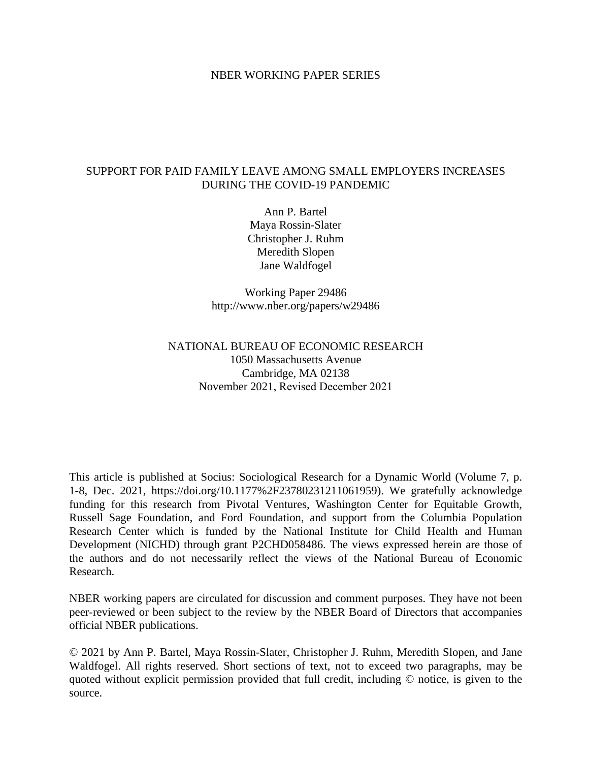## NBER WORKING PAPER SERIES

## SUPPORT FOR PAID FAMILY LEAVE AMONG SMALL EMPLOYERS INCREASES DURING THE COVID-19 PANDEMIC

Ann P. Bartel Maya Rossin-Slater Christopher J. Ruhm Meredith Slopen Jane Waldfogel

Working Paper 29486 http://www.nber.org/papers/w29486

## NATIONAL BUREAU OF ECONOMIC RESEARCH 1050 Massachusetts Avenue Cambridge, MA 02138 November 2021, Revised December 2021

This article is published at Socius: Sociological Research for a Dynamic World (Volume 7, p. 1-8, Dec. 2021, https://doi.org/10.1177%2F23780231211061959). We gratefully acknowledge funding for this research from Pivotal Ventures, Washington Center for Equitable Growth, Russell Sage Foundation, and Ford Foundation, and support from the Columbia Population Research Center which is funded by the National Institute for Child Health and Human Development (NICHD) through grant P2CHD058486. The views expressed herein are those of the authors and do not necessarily reflect the views of the National Bureau of Economic Research.

NBER working papers are circulated for discussion and comment purposes. They have not been peer-reviewed or been subject to the review by the NBER Board of Directors that accompanies official NBER publications.

© 2021 by Ann P. Bartel, Maya Rossin-Slater, Christopher J. Ruhm, Meredith Slopen, and Jane Waldfogel. All rights reserved. Short sections of text, not to exceed two paragraphs, may be quoted without explicit permission provided that full credit, including © notice, is given to the source.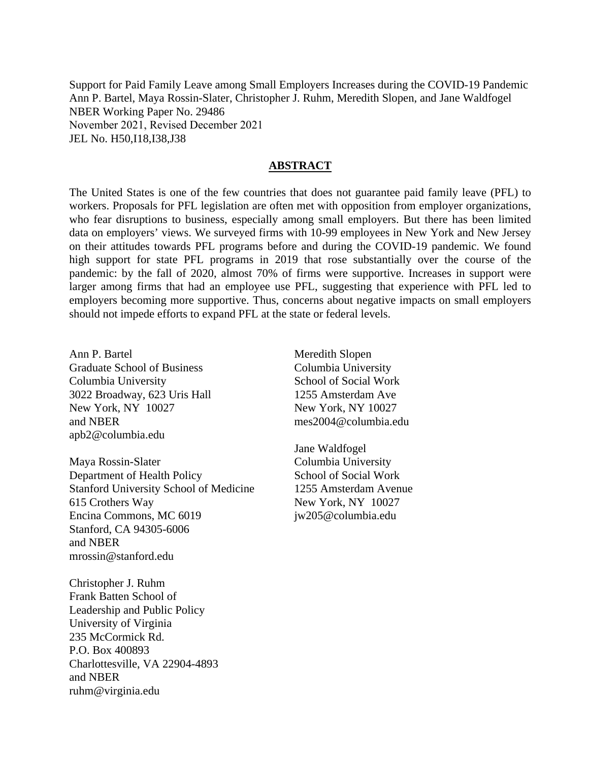Support for Paid Family Leave among Small Employers Increases during the COVID-19 Pandemic Ann P. Bartel, Maya Rossin-Slater, Christopher J. Ruhm, Meredith Slopen, and Jane Waldfogel NBER Working Paper No. 29486 November 2021, Revised December 2021 JEL No. H50,I18,I38,J38

## **ABSTRACT**

The United States is one of the few countries that does not guarantee paid family leave (PFL) to workers. Proposals for PFL legislation are often met with opposition from employer organizations, who fear disruptions to business, especially among small employers. But there has been limited data on employers' views. We surveyed firms with 10-99 employees in New York and New Jersey on their attitudes towards PFL programs before and during the COVID-19 pandemic. We found high support for state PFL programs in 2019 that rose substantially over the course of the pandemic: by the fall of 2020, almost 70% of firms were supportive. Increases in support were larger among firms that had an employee use PFL, suggesting that experience with PFL led to employers becoming more supportive. Thus, concerns about negative impacts on small employers should not impede efforts to expand PFL at the state or federal levels.

Ann P. Bartel Graduate School of Business Columbia University 3022 Broadway, 623 Uris Hall New York, NY 10027 and NBER apb2@columbia.edu

Maya Rossin-Slater Department of Health Policy Stanford University School of Medicine 615 Crothers Way Encina Commons, MC 6019 Stanford, CA 94305-6006 and NBER mrossin@stanford.edu

Christopher J. Ruhm Frank Batten School of Leadership and Public Policy University of Virginia 235 McCormick Rd. P.O. Box 400893 Charlottesville, VA 22904-4893 and NBER ruhm@virginia.edu

Meredith Slopen Columbia University School of Social Work 1255 Amsterdam Ave New York, NY 10027 mes2004@columbia.edu

Jane Waldfogel Columbia University School of Social Work 1255 Amsterdam Avenue New York, NY 10027 jw205@columbia.edu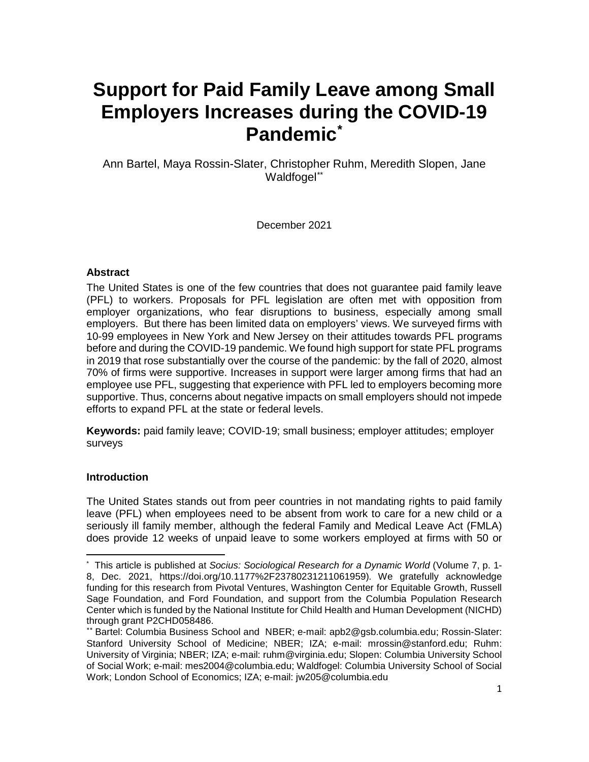# **Support for Paid Family Leave among Small Employers Increases during the COVID-19 Pandemic[\\*](#page-2-0)**

Ann Bartel, Maya Rossin-Slater, Christopher Ruhm, Meredith Slopen, Jane Waldfogel[\\*\\*](#page-2-1)

December 2021

## **Abstract**

The United States is one of the few countries that does not guarantee paid family leave (PFL) to workers. Proposals for PFL legislation are often met with opposition from employer organizations, who fear disruptions to business, especially among small employers. But there has been limited data on employers' views. We surveyed firms with 10-99 employees in New York and New Jersey on their attitudes towards PFL programs before and during the COVID-19 pandemic. We found high support for state PFL programs in 2019 that rose substantially over the course of the pandemic: by the fall of 2020, almost 70% of firms were supportive. Increases in support were larger among firms that had an employee use PFL, suggesting that experience with PFL led to employers becoming more supportive. Thus, concerns about negative impacts on small employers should not impede efforts to expand PFL at the state or federal levels.

**Keywords:** paid family leave; COVID-19; small business; employer attitudes; employer surveys

## **Introduction**

 $\overline{a}$ 

The United States stands out from peer countries in not mandating rights to paid family leave (PFL) when employees need to be absent from work to care for a new child or a seriously ill family member, although the federal Family and Medical Leave Act (FMLA) does provide 12 weeks of unpaid leave to some workers employed at firms with 50 or

<span id="page-2-0"></span><sup>\*</sup> This article is published at *Socius: Sociological Research for a Dynamic World* (Volume 7, p. 1- 8, Dec. 2021, https://doi.org/10.1177%2F23780231211061959)*.* We gratefully acknowledge funding for this research from Pivotal Ventures, Washington Center for Equitable Growth, Russell Sage Foundation, and Ford Foundation, and support from the Columbia Population Research Center which is funded by the National Institute for Child Health and Human Development (NICHD) through grant P2CHD058486.

<span id="page-2-1"></span><sup>\*\*</sup> Bartel: Columbia Business School and NBER; e-mail: apb2@gsb.columbia.edu; Rossin-Slater: Stanford University School of Medicine; NBER; IZA; e-mail: mrossin@stanford.edu; Ruhm: University of Virginia; NBER; IZA; e-mail: ruhm@virginia.edu; Slopen: Columbia University School of Social Work; e-mail: mes2004@columbia.edu; Waldfogel: Columbia University School of Social Work; London School of Economics; IZA; e-mail: jw205@columbia.edu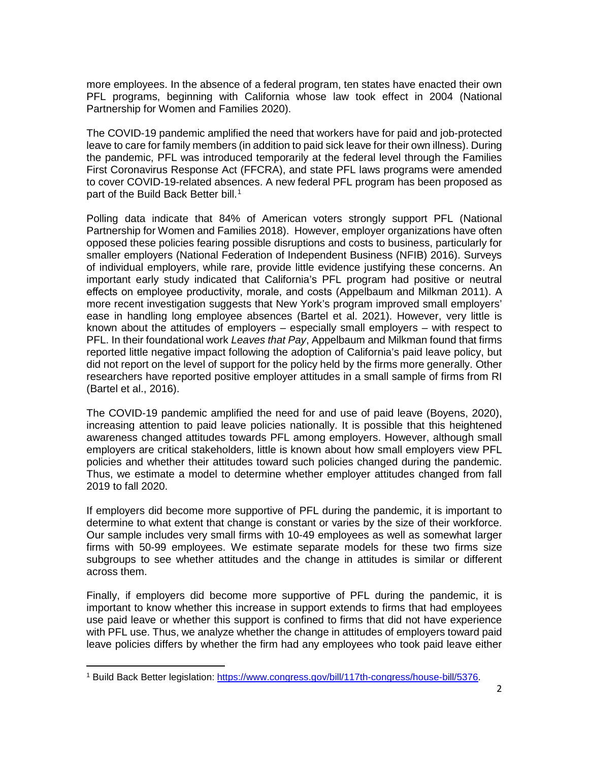more employees. In the absence of a federal program, ten states have enacted their own PFL programs, beginning with California whose law took effect in 2004 (National Partnership for Women and Families 2020).

The COVID-19 pandemic amplified the need that workers have for paid and job-protected leave to care for family members (in addition to paid sick leave for their own illness). During the pandemic, PFL was introduced temporarily at the federal level through the Families First Coronavirus Response Act (FFCRA), and state PFL laws programs were amended to cover COVID-19-related absences. A new federal PFL program has been proposed as part of the Build Back Better bill. [1](#page-3-0)

Polling data indicate that 84% of American voters strongly support PFL (National Partnership for Women and Families 2018). However, employer organizations have often opposed these policies fearing possible disruptions and costs to business, particularly for smaller employers (National Federation of Independent Business (NFIB) 2016). Surveys of individual employers, while rare, provide little evidence justifying these concerns. An important early study indicated that California's PFL program had positive or neutral effects on employee productivity, morale, and costs (Appelbaum and Milkman 2011). A more recent investigation suggests that New York's program improved small employers' ease in handling long employee absences (Bartel et al. 2021). However, very little is known about the attitudes of employers – especially small employers – with respect to PFL. In their foundational work *Leaves that Pay*, Appelbaum and Milkman found that firms reported little negative impact following the adoption of California's paid leave policy, but did not report on the level of support for the policy held by the firms more generally. Other researchers have reported positive employer attitudes in a small sample of firms from RI (Bartel et al., 2016).

The COVID-19 pandemic amplified the need for and use of paid leave (Boyens, 2020), increasing attention to paid leave policies nationally. It is possible that this heightened awareness changed attitudes towards PFL among employers. However, although small employers are critical stakeholders, little is known about how small employers view PFL policies and whether their attitudes toward such policies changed during the pandemic. Thus, we estimate a model to determine whether employer attitudes changed from fall 2019 to fall 2020.

If employers did become more supportive of PFL during the pandemic, it is important to determine to what extent that change is constant or varies by the size of their workforce. Our sample includes very small firms with 10-49 employees as well as somewhat larger firms with 50-99 employees. We estimate separate models for these two firms size subgroups to see whether attitudes and the change in attitudes is similar or different across them.

Finally, if employers did become more supportive of PFL during the pandemic, it is important to know whether this increase in support extends to firms that had employees use paid leave or whether this support is confined to firms that did not have experience with PFL use. Thus, we analyze whether the change in attitudes of employers toward paid leave policies differs by whether the firm had any employees who took paid leave either

l

<span id="page-3-0"></span><sup>&</sup>lt;sup>1</sup> Build Back Better legislation: [https://www.congress.gov/bill/117th-congress/house-bill/5376.](https://www.congress.gov/bill/117th-congress/house-bill/5376)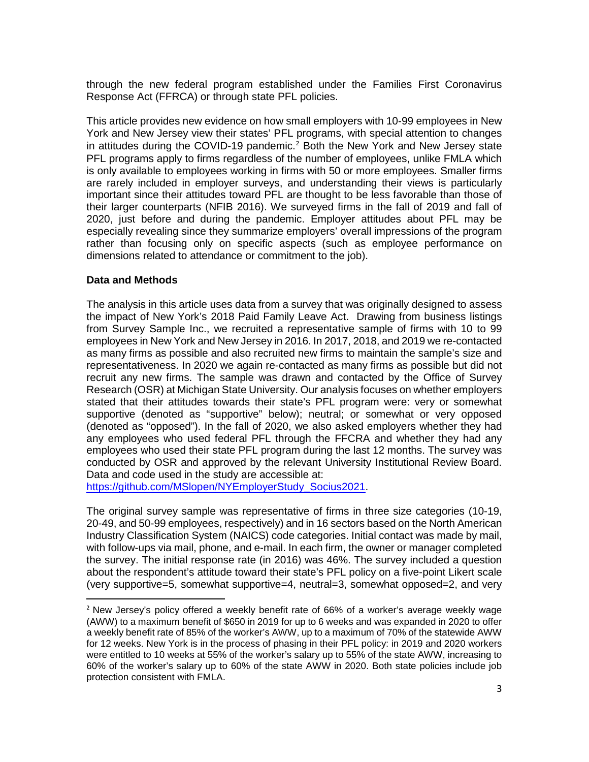through the new federal program established under the Families First Coronavirus Response Act (FFRCA) or through state PFL policies.

This article provides new evidence on how small employers with 10-99 employees in New York and New Jersey view their states' PFL programs, with special attention to changes in attitudes during the COVID-19 pandemic.<sup>[2](#page-4-0)</sup> Both the New York and New Jersey state PFL programs apply to firms regardless of the number of employees, unlike FMLA which is only available to employees working in firms with 50 or more employees. Smaller firms are rarely included in employer surveys, and understanding their views is particularly important since their attitudes toward PFL are thought to be less favorable than those of their larger counterparts (NFIB 2016). We surveyed firms in the fall of 2019 and fall of 2020, just before and during the pandemic. Employer attitudes about PFL may be especially revealing since they summarize employers' overall impressions of the program rather than focusing only on specific aspects (such as employee performance on dimensions related to attendance or commitment to the job).

## **Data and Methods**

l

The analysis in this article uses data from a survey that was originally designed to assess the impact of New York's 2018 Paid Family Leave Act. Drawing from business listings from Survey Sample Inc., we recruited a representative sample of firms with 10 to 99 employees in New York and New Jersey in 2016. In 2017, 2018, and 2019 we re-contacted as many firms as possible and also recruited new firms to maintain the sample's size and representativeness. In 2020 we again re-contacted as many firms as possible but did not recruit any new firms. The sample was drawn and contacted by the Office of Survey Research (OSR) at Michigan State University. Our analysis focuses on whether employers stated that their attitudes towards their state's PFL program were: very or somewhat supportive (denoted as "supportive" below); neutral; or somewhat or very opposed (denoted as "opposed"). In the fall of 2020, we also asked employers whether they had any employees who used federal PFL through the FFCRA and whether they had any employees who used their state PFL program during the last 12 months. The survey was conducted by OSR and approved by the relevant University Institutional Review Board. Data and code used in the study are accessible at:

[https://github.com/MSlopen/NYEmployerStudy\\_Socius2021.](https://github.com/MSlopen/NYEmployerStudy_Socius2021)

The original survey sample was representative of firms in three size categories (10-19, 20-49, and 50-99 employees, respectively) and in 16 sectors based on the North American Industry Classification System (NAICS) code categories. Initial contact was made by mail, with follow-ups via mail, phone, and e-mail. In each firm, the owner or manager completed the survey. The initial response rate (in 2016) was 46%. The survey included a question about the respondent's attitude toward their state's PFL policy on a five-point Likert scale (very supportive=5, somewhat supportive=4, neutral=3, somewhat opposed=2, and very

<span id="page-4-0"></span> $2$  New Jersey's policy offered a weekly benefit rate of 66% of a worker's average weekly wage (AWW) to a maximum benefit of \$650 in 2019 for up to 6 weeks and was expanded in 2020 to offer a weekly benefit rate of 85% of the worker's AWW, up to a maximum of 70% of the statewide AWW for 12 weeks. New York is in the process of phasing in their PFL policy: in 2019 and 2020 workers were entitled to 10 weeks at 55% of the worker's salary up to 55% of the state AWW, increasing to 60% of the worker's salary up to 60% of the state AWW in 2020. Both state policies include job protection consistent with FMLA.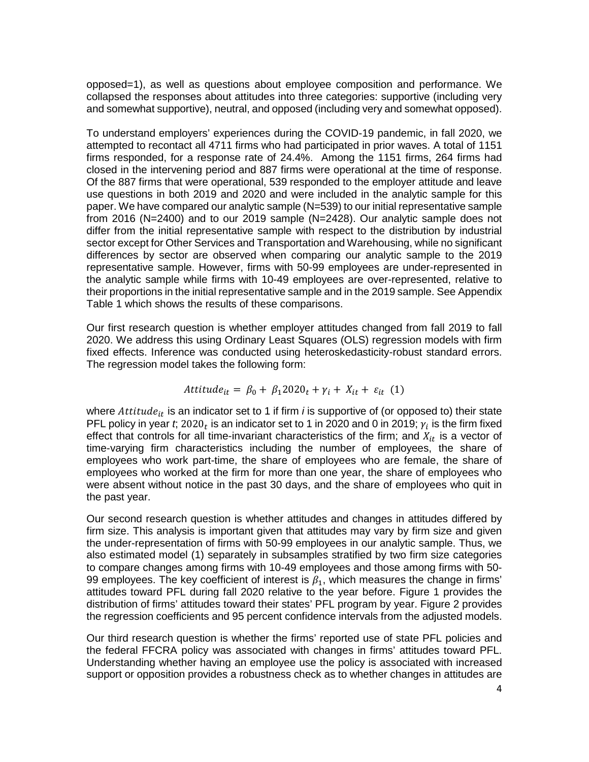opposed=1), as well as questions about employee composition and performance. We collapsed the responses about attitudes into three categories: supportive (including very and somewhat supportive), neutral, and opposed (including very and somewhat opposed).

To understand employers' experiences during the COVID-19 pandemic, in fall 2020, we attempted to recontact all 4711 firms who had participated in prior waves. A total of 1151 firms responded, for a response rate of 24.4%. Among the 1151 firms, 264 firms had closed in the intervening period and 887 firms were operational at the time of response. Of the 887 firms that were operational, 539 responded to the employer attitude and leave use questions in both 2019 and 2020 and were included in the analytic sample for this paper. We have compared our analytic sample (N=539) to our initial representative sample from 2016 (N=2400) and to our 2019 sample (N=2428). Our analytic sample does not differ from the initial representative sample with respect to the distribution by industrial sector except for Other Services and Transportation and Warehousing, while no significant differences by sector are observed when comparing our analytic sample to the 2019 representative sample. However, firms with 50-99 employees are under-represented in the analytic sample while firms with 10-49 employees are over-represented, relative to their proportions in the initial representative sample and in the 2019 sample. See Appendix Table 1 which shows the results of these comparisons.

Our first research question is whether employer attitudes changed from fall 2019 to fall 2020. We address this using Ordinary Least Squares (OLS) regression models with firm fixed effects. Inference was conducted using heteroskedasticity-robust standard errors. The regression model takes the following form:

$$
Attitude_{it} = \beta_0 + \beta_1 2020_t + \gamma_i + X_{it} + \varepsilon_{it} (1)
$$

where  $Attitude_{it}$  is an indicator set to 1 if firm  $i$  is supportive of (or opposed to) their state PFL policy in year *t*; 2020<sub>t</sub> is an indicator set to 1 in 2020 and 0 in 2019;  $\gamma_i$  is the firm fixed effect that controls for all time-invariant characteristics of the firm; and  $X_{it}$  is a vector of time-varying firm characteristics including the number of employees, the share of employees who work part-time, the share of employees who are female, the share of employees who worked at the firm for more than one year, the share of employees who were absent without notice in the past 30 days, and the share of employees who quit in the past year.

Our second research question is whether attitudes and changes in attitudes differed by firm size. This analysis is important given that attitudes may vary by firm size and given the under-representation of firms with 50-99 employees in our analytic sample. Thus, we also estimated model (1) separately in subsamples stratified by two firm size categories to compare changes among firms with 10-49 employees and those among firms with 50- 99 employees. The key coefficient of interest is  $\beta_1$ , which measures the change in firms' attitudes toward PFL during fall 2020 relative to the year before. Figure 1 provides the distribution of firms' attitudes toward their states' PFL program by year. Figure 2 provides the regression coefficients and 95 percent confidence intervals from the adjusted models.

Our third research question is whether the firms' reported use of state PFL policies and the federal FFCRA policy was associated with changes in firms' attitudes toward PFL. Understanding whether having an employee use the policy is associated with increased support or opposition provides a robustness check as to whether changes in attitudes are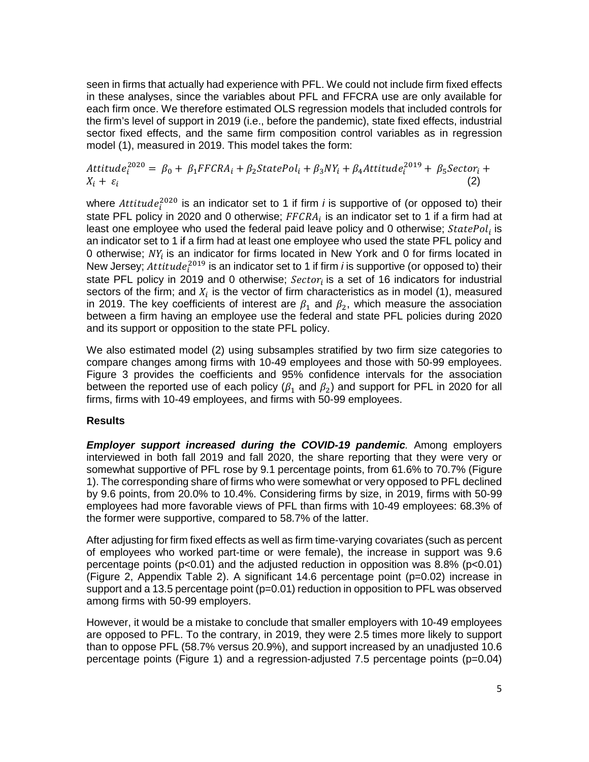seen in firms that actually had experience with PFL. We could not include firm fixed effects in these analyses, since the variables about PFL and FFCRA use are only available for each firm once. We therefore estimated OLS regression models that included controls for the firm's level of support in 2019 (i.e., before the pandemic), state fixed effects, industrial sector fixed effects, and the same firm composition control variables as in regression model (1), measured in 2019. This model takes the form:

Attitude $i^{2020} = \beta_0 + \beta_1 FFCRA_i + \beta_2 StatePol_i + \beta_3 NY_i + \beta_4 Atititude_i^{2019} + \beta_5 Sector_i +$  $X_i + \varepsilon_i$  (2)

where  $Attitude_i^{2020}$  is an indicator set to 1 if firm *i* is supportive of (or opposed to) their state PFL policy in 2020 and 0 otherwise;  $FFCRA_i$  is an indicator set to 1 if a firm had at least one employee who used the federal paid leave policy and 0 otherwise;  $StatePol<sub>i</sub>$  is an indicator set to 1 if a firm had at least one employee who used the state PFL policy and 0 otherwise;  $NY_i$  is an indicator for firms located in New York and 0 for firms located in New Jersey;  $Attitude_i^{2019}$  is an indicator set to 1 if firm *i* is supportive (or opposed to) their state PFL policy in 2019 and 0 otherwise;  $Sector_i$  is a set of 16 indicators for industrial sectors of the firm; and  $X_i$  is the vector of firm characteristics as in model (1), measured in 2019. The key coefficients of interest are  $\beta_1$  and  $\beta_2$ , which measure the association between a firm having an employee use the federal and state PFL policies during 2020 and its support or opposition to the state PFL policy.

We also estimated model (2) using subsamples stratified by two firm size categories to compare changes among firms with 10-49 employees and those with 50-99 employees. Figure 3 provides the coefficients and 95% confidence intervals for the association between the reported use of each policy ( $\beta_1$  and  $\beta_2$ ) and support for PFL in 2020 for all firms, firms with 10-49 employees, and firms with 50-99 employees.

## **Results**

*Employer support increased during the COVID-19 pandemic.* Among employers interviewed in both fall 2019 and fall 2020, the share reporting that they were very or somewhat supportive of PFL rose by 9.1 percentage points, from 61.6% to 70.7% (Figure 1). The corresponding share of firms who were somewhat or very opposed to PFL declined by 9.6 points, from 20.0% to 10.4%. Considering firms by size, in 2019, firms with 50-99 employees had more favorable views of PFL than firms with 10-49 employees: 68.3% of the former were supportive, compared to 58.7% of the latter.

After adjusting for firm fixed effects as well as firm time-varying covariates (such as percent of employees who worked part-time or were female), the increase in support was 9.6 percentage points ( $p < 0.01$ ) and the adjusted reduction in opposition was 8.8% ( $p < 0.01$ ) (Figure 2, Appendix Table 2). A significant  $14.6$  percentage point ( $p=0.02$ ) increase in support and a 13.5 percentage point (p=0.01) reduction in opposition to PFL was observed among firms with 50-99 employers.

However, it would be a mistake to conclude that smaller employers with 10-49 employees are opposed to PFL. To the contrary, in 2019, they were 2.5 times more likely to support than to oppose PFL (58.7% versus 20.9%), and support increased by an unadjusted 10.6 percentage points (Figure 1) and a regression-adjusted 7.5 percentage points (p=0.04)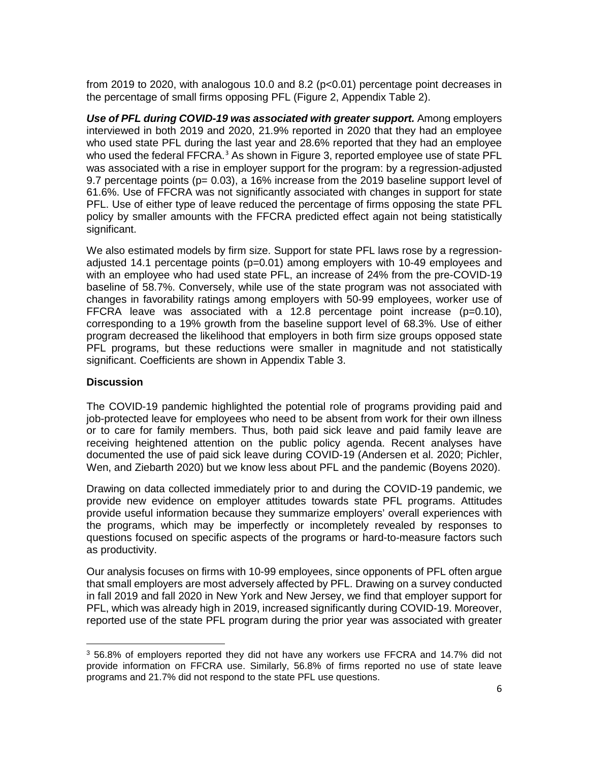from 2019 to 2020, with analogous 10.0 and 8.2 (p<0.01) percentage point decreases in the percentage of small firms opposing PFL (Figure 2, Appendix Table 2).

**Use of PFL during COVID-19 was associated with greater support.** Among employers interviewed in both 2019 and 2020, 21.9% reported in 2020 that they had an employee who used state PFL during the last year and 28.6% reported that they had an employee who used the federal FFCRA. $3$  As shown in Figure 3, reported employee use of state PFL was associated with a rise in employer support for the program: by a regression-adjusted 9.7 percentage points ( $p= 0.03$ ), a 16% increase from the 2019 baseline support level of 61.6%. Use of FFCRA was not significantly associated with changes in support for state PFL. Use of either type of leave reduced the percentage of firms opposing the state PFL policy by smaller amounts with the FFCRA predicted effect again not being statistically significant.

We also estimated models by firm size. Support for state PFL laws rose by a regressionadjusted 14.1 percentage points  $(p=0.01)$  among employers with 10-49 employees and with an employee who had used state PFL, an increase of 24% from the pre-COVID-19 baseline of 58.7%. Conversely, while use of the state program was not associated with changes in favorability ratings among employers with 50-99 employees, worker use of FFCRA leave was associated with a 12.8 percentage point increase  $(p=0.10)$ , corresponding to a 19% growth from the baseline support level of 68.3%. Use of either program decreased the likelihood that employers in both firm size groups opposed state PFL programs, but these reductions were smaller in magnitude and not statistically significant. Coefficients are shown in Appendix Table 3.

## **Discussion**

 $\overline{a}$ 

The COVID-19 pandemic highlighted the potential role of programs providing paid and job-protected leave for employees who need to be absent from work for their own illness or to care for family members. Thus, both paid sick leave and paid family leave are receiving heightened attention on the public policy agenda. Recent analyses have documented the use of paid sick leave during COVID-19 (Andersen et al. 2020; Pichler, Wen, and Ziebarth 2020) but we know less about PFL and the pandemic (Boyens 2020).

Drawing on data collected immediately prior to and during the COVID-19 pandemic, we provide new evidence on employer attitudes towards state PFL programs. Attitudes provide useful information because they summarize employers' overall experiences with the programs, which may be imperfectly or incompletely revealed by responses to questions focused on specific aspects of the programs or hard-to-measure factors such as productivity.

Our analysis focuses on firms with 10-99 employees, since opponents of PFL often argue that small employers are most adversely affected by PFL. Drawing on a survey conducted in fall 2019 and fall 2020 in New York and New Jersey, we find that employer support for PFL, which was already high in 2019, increased significantly during COVID-19. Moreover, reported use of the state PFL program during the prior year was associated with greater

<span id="page-7-0"></span><sup>3</sup> 56.8% of employers reported they did not have any workers use FFCRA and 14.7% did not provide information on FFCRA use. Similarly, 56.8% of firms reported no use of state leave programs and 21.7% did not respond to the state PFL use questions.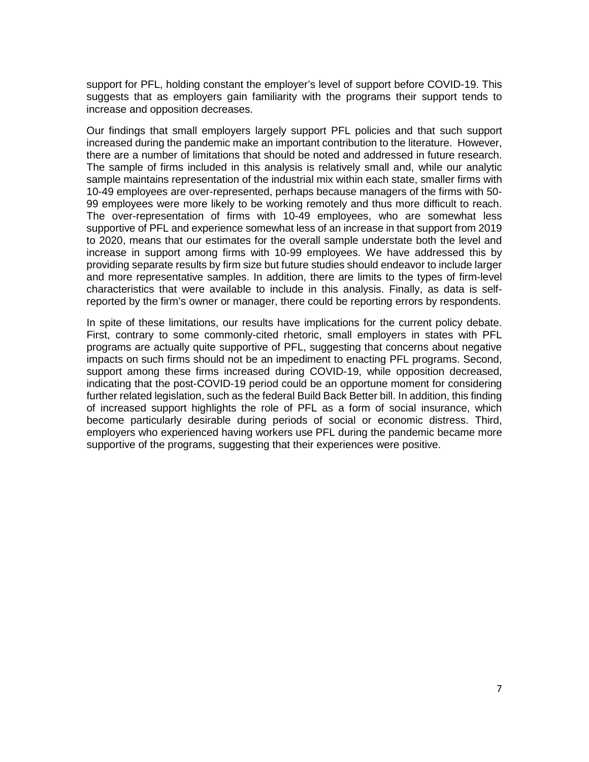support for PFL, holding constant the employer's level of support before COVID-19. This suggests that as employers gain familiarity with the programs their support tends to increase and opposition decreases.

Our findings that small employers largely support PFL policies and that such support increased during the pandemic make an important contribution to the literature. However, there are a number of limitations that should be noted and addressed in future research. The sample of firms included in this analysis is relatively small and, while our analytic sample maintains representation of the industrial mix within each state, smaller firms with 10-49 employees are over-represented, perhaps because managers of the firms with 50- 99 employees were more likely to be working remotely and thus more difficult to reach. The over-representation of firms with 10-49 employees, who are somewhat less supportive of PFL and experience somewhat less of an increase in that support from 2019 to 2020, means that our estimates for the overall sample understate both the level and increase in support among firms with 10-99 employees. We have addressed this by providing separate results by firm size but future studies should endeavor to include larger and more representative samples. In addition, there are limits to the types of firm-level characteristics that were available to include in this analysis. Finally, as data is selfreported by the firm's owner or manager, there could be reporting errors by respondents.

In spite of these limitations, our results have implications for the current policy debate. First, contrary to some commonly-cited rhetoric, small employers in states with PFL programs are actually quite supportive of PFL, suggesting that concerns about negative impacts on such firms should not be an impediment to enacting PFL programs. Second, support among these firms increased during COVID-19, while opposition decreased, indicating that the post-COVID-19 period could be an opportune moment for considering further related legislation, such as the federal Build Back Better bill. In addition, this finding of increased support highlights the role of PFL as a form of social insurance, which become particularly desirable during periods of social or economic distress. Third, employers who experienced having workers use PFL during the pandemic became more supportive of the programs, suggesting that their experiences were positive.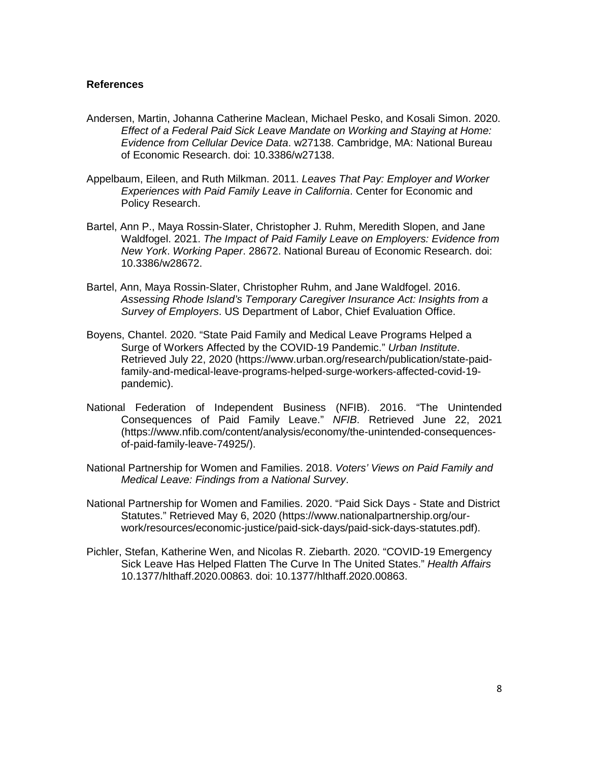### **References**

- Andersen, Martin, Johanna Catherine Maclean, Michael Pesko, and Kosali Simon. 2020. *Effect of a Federal Paid Sick Leave Mandate on Working and Staying at Home: Evidence from Cellular Device Data*. w27138. Cambridge, MA: National Bureau of Economic Research. doi: 10.3386/w27138.
- Appelbaum, Eileen, and Ruth Milkman. 2011. *Leaves That Pay: Employer and Worker Experiences with Paid Family Leave in California*. Center for Economic and Policy Research.
- Bartel, Ann P., Maya Rossin-Slater, Christopher J. Ruhm, Meredith Slopen, and Jane Waldfogel. 2021. *The Impact of Paid Family Leave on Employers: Evidence from New York*. *Working Paper*. 28672. National Bureau of Economic Research. doi: 10.3386/w28672.
- Bartel, Ann, Maya Rossin-Slater, Christopher Ruhm, and Jane Waldfogel. 2016. *Assessing Rhode Island's Temporary Caregiver Insurance Act: Insights from a Survey of Employers*. US Department of Labor, Chief Evaluation Office.
- Boyens, Chantel. 2020. "State Paid Family and Medical Leave Programs Helped a Surge of Workers Affected by the COVID-19 Pandemic." *Urban Institute*. Retrieved July 22, 2020 (https://www.urban.org/research/publication/state-paidfamily-and-medical-leave-programs-helped-surge-workers-affected-covid-19 pandemic).
- National Federation of Independent Business (NFIB). 2016. "The Unintended Consequences of Paid Family Leave." *NFIB*. Retrieved June 22, 2021 (https://www.nfib.com/content/analysis/economy/the-unintended-consequencesof-paid-family-leave-74925/).
- National Partnership for Women and Families. 2018. *Voters' Views on Paid Family and Medical Leave: Findings from a National Survey*.
- National Partnership for Women and Families. 2020. "Paid Sick Days State and District Statutes." Retrieved May 6, 2020 (https://www.nationalpartnership.org/ourwork/resources/economic-justice/paid-sick-days/paid-sick-days-statutes.pdf).
- Pichler, Stefan, Katherine Wen, and Nicolas R. Ziebarth. 2020. "COVID-19 Emergency Sick Leave Has Helped Flatten The Curve In The United States." *Health Affairs* 10.1377/hlthaff.2020.00863. doi: 10.1377/hlthaff.2020.00863.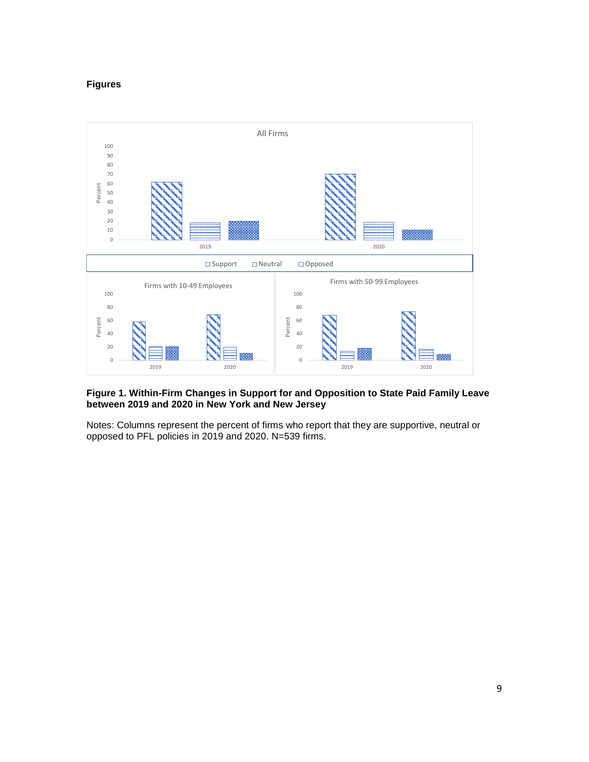#### **Figures**



### **Figure 1. Within-Firm Changes in Support for and Opposition to State Paid Family Leave between 2019 and 2020 in New York and New Jersey**

Notes: Columns represent the percent of firms who report that they are supportive, neutral or opposed to PFL policies in 2019 and 2020. N=539 firms.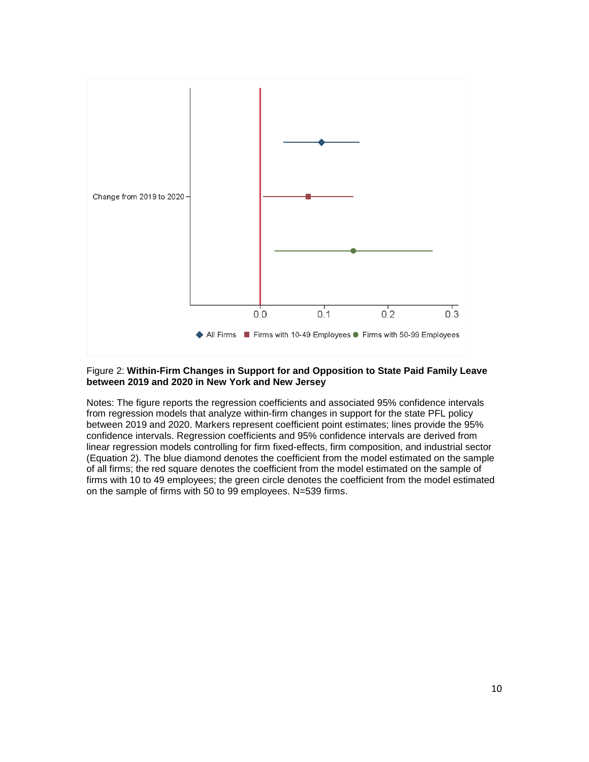

### Figure 2: **Within-Firm Changes in Support for and Opposition to State Paid Family Leave between 2019 and 2020 in New York and New Jersey**

Notes: The figure reports the regression coefficients and associated 95% confidence intervals from regression models that analyze within-firm changes in support for the state PFL policy between 2019 and 2020. Markers represent coefficient point estimates; lines provide the 95% confidence intervals. Regression coefficients and 95% confidence intervals are derived from linear regression models controlling for firm fixed-effects, firm composition, and industrial sector (Equation 2). The blue diamond denotes the coefficient from the model estimated on the sample of all firms; the red square denotes the coefficient from the model estimated on the sample of firms with 10 to 49 employees; the green circle denotes the coefficient from the model estimated on the sample of firms with 50 to 99 employees. N=539 firms.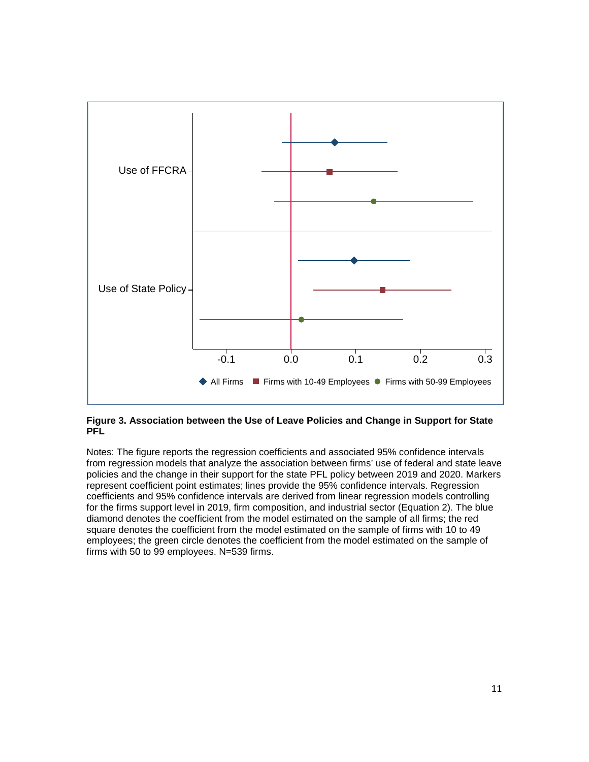

## **Figure 3. Association between the Use of Leave Policies and Change in Support for State PFL**

Notes: The figure reports the regression coefficients and associated 95% confidence intervals from regression models that analyze the association between firms' use of federal and state leave policies and the change in their support for the state PFL policy between 2019 and 2020. Markers represent coefficient point estimates; lines provide the 95% confidence intervals. Regression coefficients and 95% confidence intervals are derived from linear regression models controlling for the firms support level in 2019, firm composition, and industrial sector (Equation 2). The blue diamond denotes the coefficient from the model estimated on the sample of all firms; the red square denotes the coefficient from the model estimated on the sample of firms with 10 to 49 employees; the green circle denotes the coefficient from the model estimated on the sample of firms with 50 to 99 employees. N=539 firms.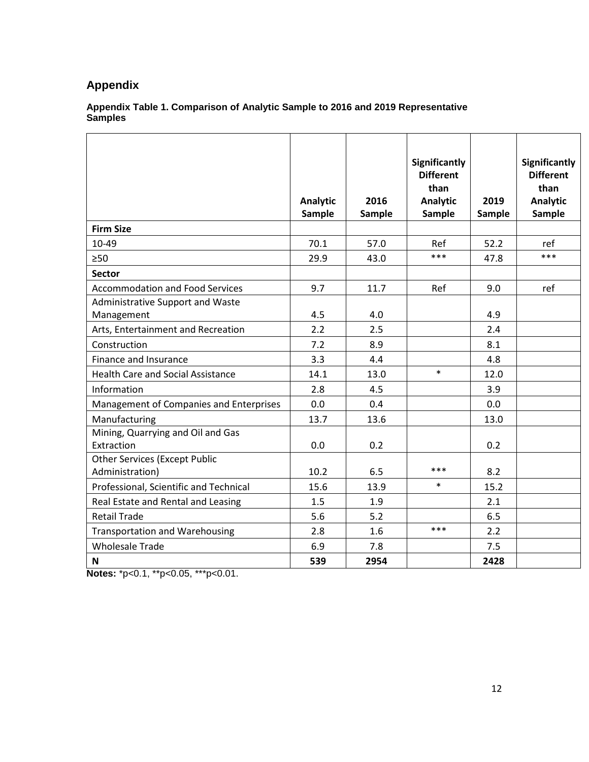## **Appendix**

### **Appendix Table 1. Comparison of Analytic Sample to 2016 and 2019 Representative Samples**

|                                                         | Analytic<br>Sample | 2016<br>Sample | <b>Significantly</b><br><b>Different</b><br>than<br>Analytic<br>Sample | 2019<br><b>Sample</b> | Significantly<br><b>Different</b><br>than<br><b>Analytic</b><br><b>Sample</b> |
|---------------------------------------------------------|--------------------|----------------|------------------------------------------------------------------------|-----------------------|-------------------------------------------------------------------------------|
| <b>Firm Size</b>                                        |                    |                |                                                                        |                       |                                                                               |
| 10-49                                                   | 70.1               | 57.0           | Ref                                                                    | 52.2                  | ref                                                                           |
| >50                                                     | 29.9               | 43.0           | ***                                                                    | 47.8                  | ***                                                                           |
| <b>Sector</b>                                           |                    |                |                                                                        |                       |                                                                               |
| <b>Accommodation and Food Services</b>                  | 9.7                | 11.7           | Ref                                                                    | 9.0                   | ref                                                                           |
| Administrative Support and Waste                        |                    |                |                                                                        |                       |                                                                               |
| Management                                              | 4.5                | 4.0            |                                                                        | 4.9                   |                                                                               |
| Arts, Entertainment and Recreation                      | 2.2                | 2.5            |                                                                        | 2.4                   |                                                                               |
| Construction                                            | 7.2                | 8.9            |                                                                        | 8.1                   |                                                                               |
| Finance and Insurance                                   | 3.3                | 4.4            |                                                                        | 4.8                   |                                                                               |
| <b>Health Care and Social Assistance</b>                | 14.1               | 13.0           | $\ast$                                                                 | 12.0                  |                                                                               |
| Information                                             | 2.8                | 4.5            |                                                                        | 3.9                   |                                                                               |
| Management of Companies and Enterprises                 | 0.0                | 0.4            |                                                                        | 0.0                   |                                                                               |
| Manufacturing                                           | 13.7               | 13.6           |                                                                        | 13.0                  |                                                                               |
| Mining, Quarrying and Oil and Gas<br>Extraction         | 0.0                | 0.2            |                                                                        | 0.2                   |                                                                               |
| <b>Other Services (Except Public</b><br>Administration) | 10.2               | 6.5            | ***                                                                    | 8.2                   |                                                                               |
| Professional, Scientific and Technical                  | 15.6               | 13.9           | $\ast$                                                                 | 15.2                  |                                                                               |
| Real Estate and Rental and Leasing                      | 1.5                | 1.9            |                                                                        | 2.1                   |                                                                               |
| <b>Retail Trade</b>                                     | 5.6                | 5.2            |                                                                        | 6.5                   |                                                                               |
| <b>Transportation and Warehousing</b>                   | 2.8                | 1.6            | ***                                                                    | 2.2                   |                                                                               |
| <b>Wholesale Trade</b>                                  | 6.9                | 7.8            |                                                                        | 7.5                   |                                                                               |
| N                                                       | 539                | 2954           |                                                                        | 2428                  |                                                                               |

**Notes:** \*p<0.1, \*\*p<0.05, \*\*\*p<0.01.